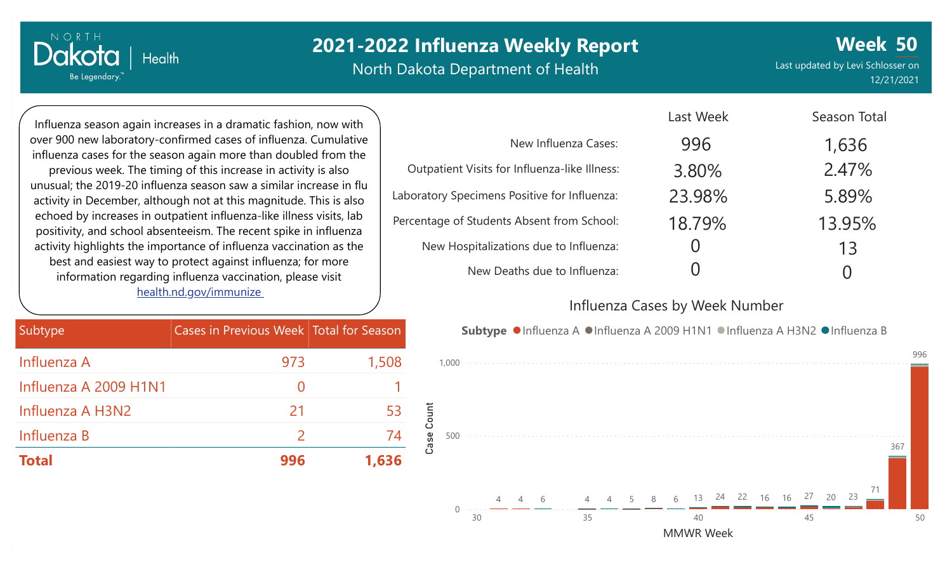North Dakota Department of Health

**Week 50** Last updated by Levi Schlosser on 12/21/2021

996

Influenza season again increases in a dramatic fashion, now with over 900 new laboratory-confirmed cases of influenza. Cumulative influenza cases for the season again more than doubled from the previous week. The timing of this increase in activity is also unusual; the 2019-20 influenza season saw a similar increase in flu activity in December, although not at this magnitude. This is also echoed by increases in outpatient influenza-like illness visits, lab positivity, and school absenteeism. The recent spike in influenza activity highlights the importance of influenza vaccination as the best and easiest way to protect against influenza; for more information regarding influenza vaccination, please visit [health.nd.gov/immunize](http://health.nd.gov/immunize)

 $|$  Health

NORTH

Dakota

Be Legendary.

| Subtype               | Cases in Previous Week Total for Season |       |
|-----------------------|-----------------------------------------|-------|
| Influenza A           | 973                                     | 1,508 |
| Influenza A 2009 H1N1 | $\left( \right)$                        |       |
| Influenza A H3N2      | 21                                      | 53    |
| Influenza B           | $\mathcal{L}$                           | 74    |
| <b>Total</b>          | 996                                     | 1,636 |

|                                               | Last Week | Season Total |
|-----------------------------------------------|-----------|--------------|
| New Influenza Cases:                          | 996       | 1,636        |
| Outpatient Visits for Influenza-like Illness: | 3.80%     | 2.47%        |
| Laboratory Specimens Positive for Influenza:  | 23.98%    | 5.89%        |
| Percentage of Students Absent from School:    | 18.79%    | 13.95%       |
| New Hospitalizations due to Influenza:        |           | 13           |
| New Deaths due to Influenza:                  |           |              |

#### Influenza Cases by Week Number

Last Week

1,000 Subtype ●Influenza A ●Influenza A 2009 H1N1 ●Influenza A H3N2 ●Influenza B

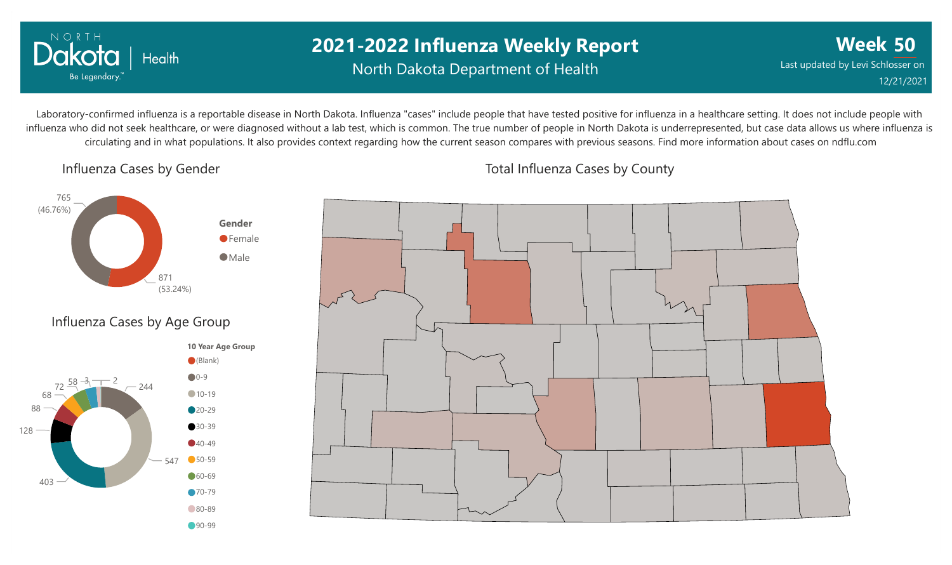

### **2021-2022 Influenza Weekly Report** North Dakota Department of Health

**Week 50** Last updated by Levi Schlosser on 12/21/2021

Laboratory-confirmed influenza is a reportable disease in North Dakota. Influenza "cases" include people that have tested positive for influenza in a healthcare setting. It does not include people with influenza who did not seek healthcare, or were diagnosed without a lab test, which is common. The true number of people in North Dakota is underrepresented, but case data allows us where influenza is circulating and in what populations. It also provides context regarding how the current season compares with previous seasons. Find more information about cases on ndflu.com

Influenza Cases by Gender





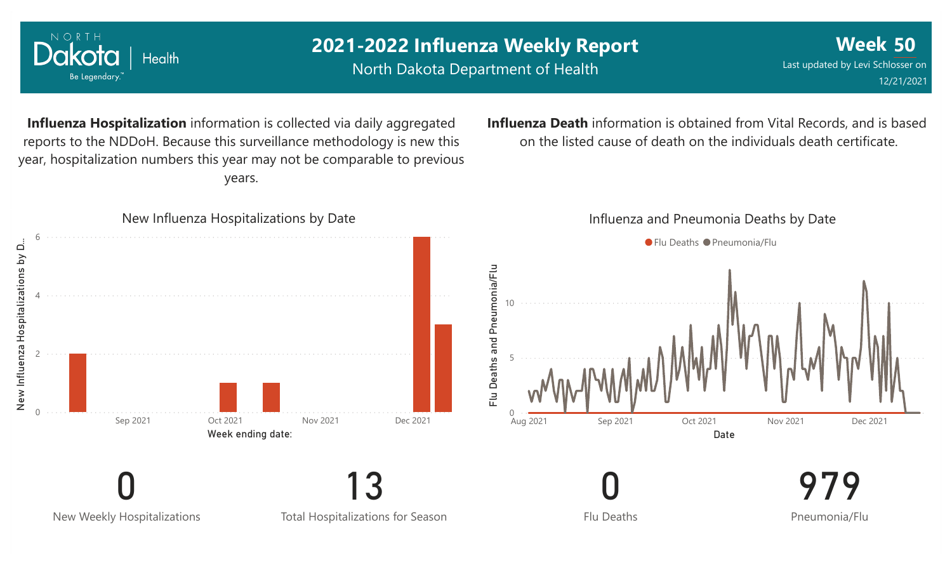

NORTH

North Dakota Department of Health

**Week 50** Last updated by Levi Schlosser on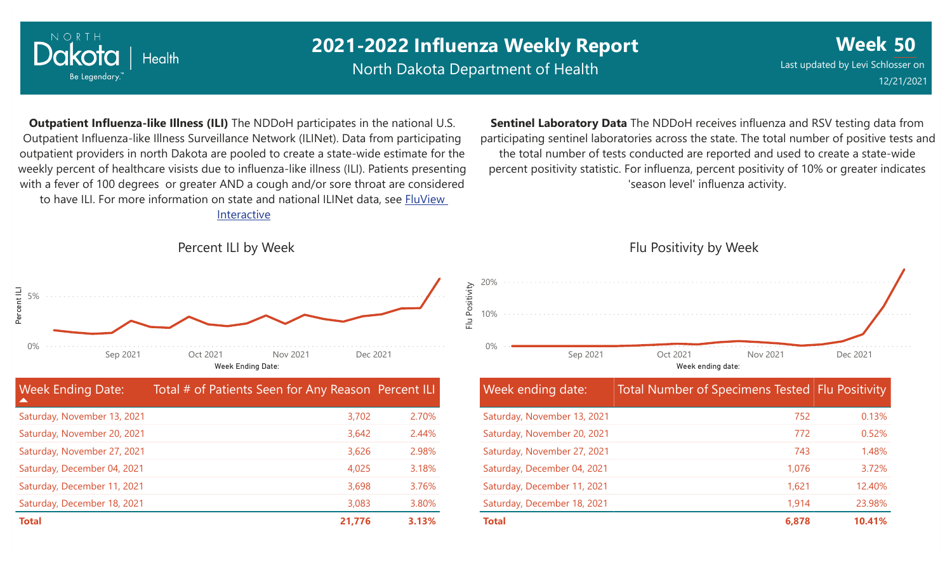![](_page_3_Picture_0.jpeg)

North Dakota Department of Health

**Week 50** Last updated by Levi Schlosser on 12/21/2021

**Outpatient Influenza-like Illness (ILI)** The NDDoH participates in the national U.S. Outpatient Influenza-like Illness Surveillance Network (ILINet). Data from participating outpatient providers in north Dakota are pooled to create a state-wide estimate for the weekly percent of healthcare visists due to influenza-like illness (ILI). Patients presenting with a fever of 100 degrees or greater AND a cough and/or sore throat are considered to have ILI. For more information on state and national ILINet data, see **FluView** Interactive

**Sentinel Laboratory Data** The NDDoH receives influenza and RSV testing data from participating sentinel laboratories across the state. The total number of positive tests and the total number of tests conducted are reported and used to create a state-wide percent positivity statistic. For influenza, percent positivity of 10% or greater indicates 'season level' influenza activity.

Percent ILI by Week

![](_page_3_Figure_7.jpeg)

| <b>Week Ending Date:</b>    | Total # of Patients Seen for Any Reason Percent ILI |       |
|-----------------------------|-----------------------------------------------------|-------|
| Saturday, November 13, 2021 | 3,702                                               | 2.70% |
| Saturday, November 20, 2021 | 3,642                                               | 2.44% |
| Saturday, November 27, 2021 | 3,626                                               | 2.98% |
| Saturday, December 04, 2021 | 4,025                                               | 3.18% |
| Saturday, December 11, 2021 | 3,698                                               | 3.76% |
| Saturday, December 18, 2021 | 3,083                                               | 3.80% |
| <b>Total</b>                | 21,776                                              | 3.13% |

### Flu Positivity by Week 0% 10% 20% Week ending date: Sep 2021 Oct 2021 Nov 2021 Dec 2021

| <b>Week ending date:</b>    | <b>Total Number of Specimens Tested Flu Positivity</b> |        |
|-----------------------------|--------------------------------------------------------|--------|
| Saturday, November 13, 2021 | 752                                                    | 0.13%  |
| Saturday, November 20, 2021 | 772                                                    | 0.52%  |
| Saturday, November 27, 2021 | 743                                                    | 1.48%  |
| Saturday, December 04, 2021 | 1.076                                                  | 3.72%  |
| Saturday, December 11, 2021 | 1,621                                                  | 12.40% |
| Saturday, December 18, 2021 | 1,914                                                  | 23.98% |
| <b>Total</b>                | 6,878                                                  | 10.41% |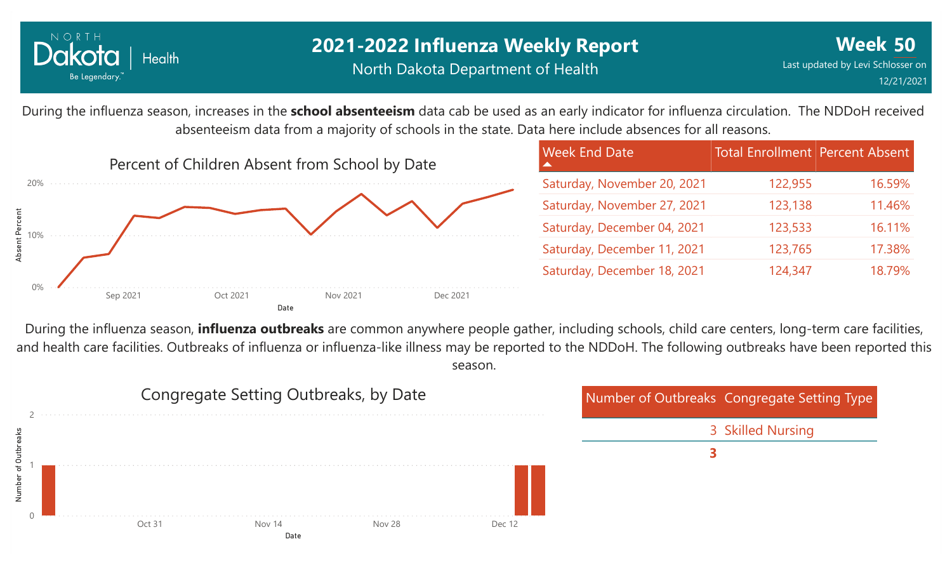![](_page_4_Picture_0.jpeg)

During the influenza season, increases in the **school absenteeism** data cab be used as an early indicator for influenza circulation. The NDDoH received absenteeism data from a majority of schools in the state. Data here include absences for all reasons.

![](_page_4_Figure_4.jpeg)

During the influenza season, **influenza outbreaks** are common anywhere people gather, including schools, child care centers, long-term care facilities, and health care facilities. Outbreaks of influenza or influenza-like illness may be reported to the NDDoH. The following outbreaks have been reported this season.

![](_page_4_Figure_6.jpeg)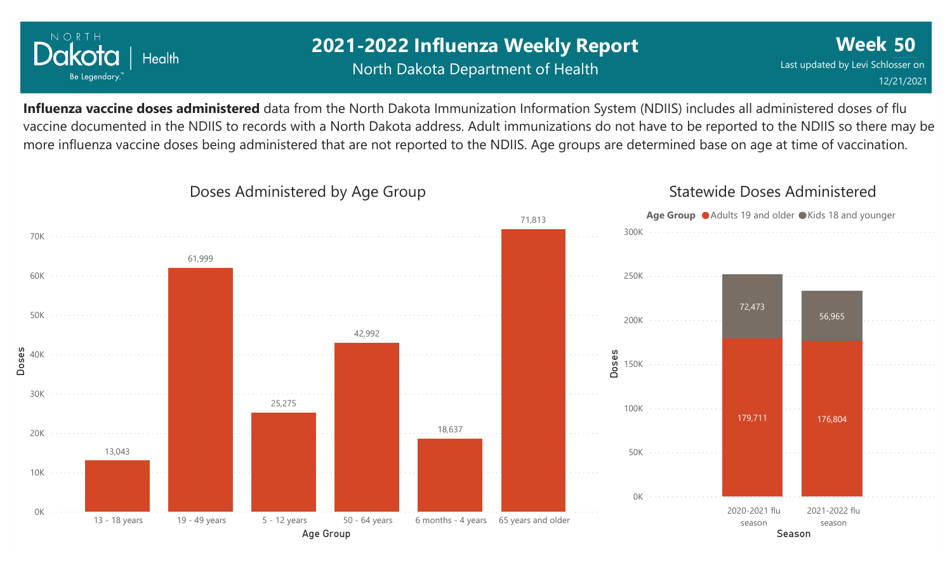![](_page_5_Picture_0.jpeg)

### **2021-2022 Influenza Weekly Report** North Dakota Department of Health

**Week 50** Last updated by Levi Schlosser on 12/21/2021

**Influenza vaccine doses administered** data from the North Dakota Immunization Information System (NDIIS) includes all administered doses of flu vaccine documented in the NDIIS to records with a North Dakota address. Adult immunizations do not have to be reported to the NDIIS so there may be more influenza vaccine doses being administered that are not reported to the NDIIS. Age groups are determined base on age at time of vaccination.

![](_page_5_Figure_4.jpeg)

#### Doses Administered by Age Group

#### Statewide Doses Administered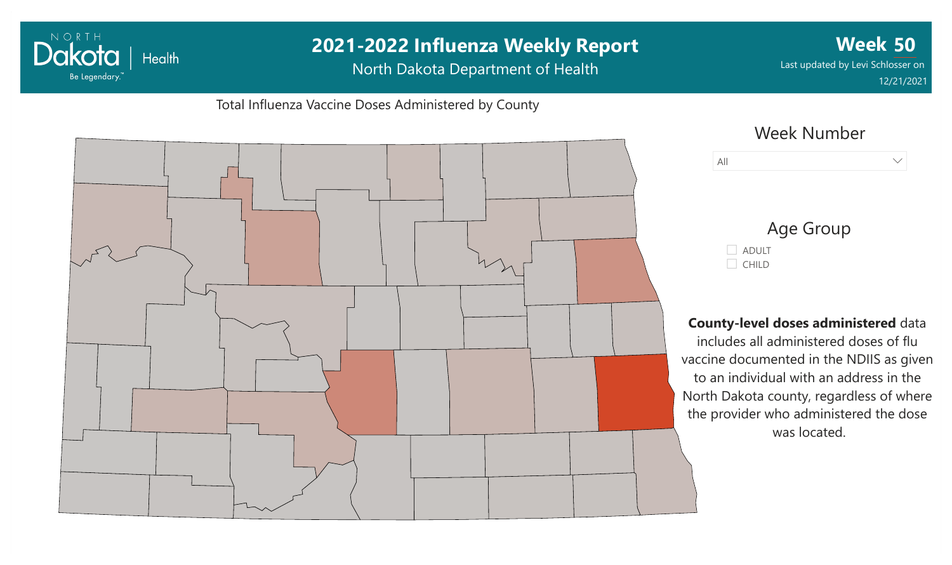## **2021-2022 Influenza Weekly Report Week 50** Dakota | Health Last updated by Levi Schlosser on North Dakota Department of Health Be Legendary. 12/21/2021Total Influenza Vaccine Doses Administered by County Week Number All  $\vee$ Age Group ADULT  $C$ HILD **County-level doses administered** data includes all administered doses of flu vaccine documented in the NDIIS as given to an individual with an address in the North Dakota county, regardless of where the provider who administered the dose was located.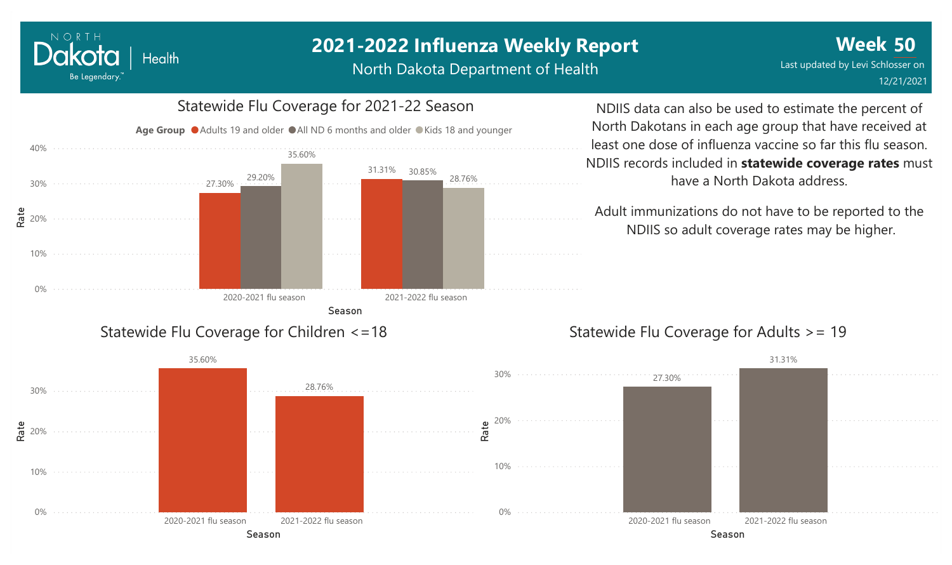North Dakota Department of Health

![](_page_7_Figure_3.jpeg)

Dakota

Be Legendary.

Health

NDIIS data can also be used to estimate the percent of North Dakotans in each age group that have received at least one dose of influenza vaccine so far this flu season. NDIIS records included in **statewide coverage rates** must have a North Dakota address.

Adult immunizations do not have to be reported to the NDIIS so adult coverage rates may be higher.

#### Statewide Flu Coverage for Adults >= 19

![](_page_7_Figure_7.jpeg)